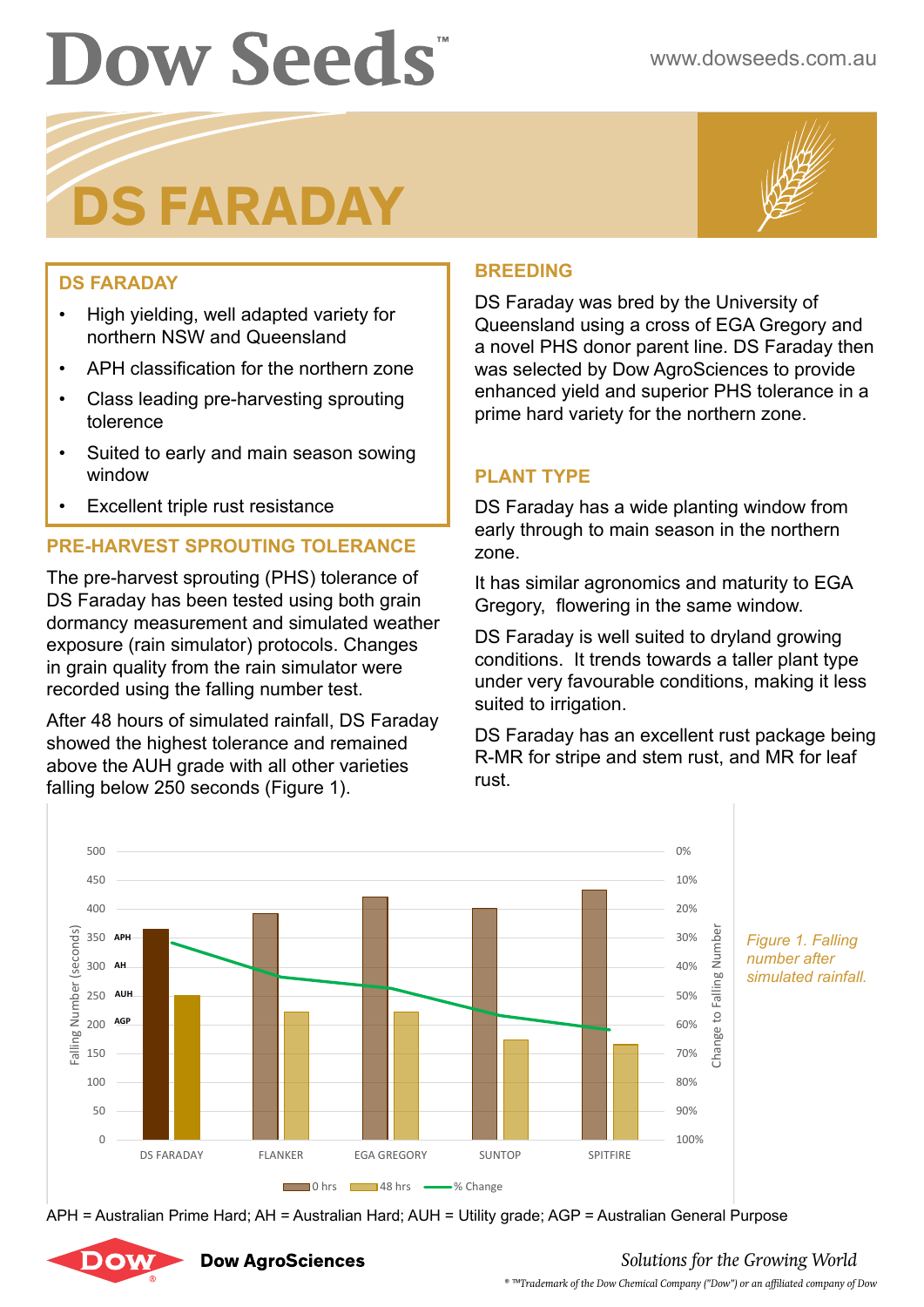# **DS FARADAY**



## **DS FARADAY**

- High yielding, well adapted variety for northern NSW and Queensland
- APH classification for the northern zone
- Class leading pre-harvesting sprouting tolerence
- Suited to early and main season sowing window
- Excellent triple rust resistance

# **PRE-HARVEST SPROUTING TOLERANCE**

The pre-harvest sprouting (PHS) tolerance of DS Faraday has been tested using both grain dormancy measurement and simulated weather exposure (rain simulator) protocols. Changes in grain quality from the rain simulator were recorded using the falling number test.

After 48 hours of simulated rainfall, DS Faraday showed the highest tolerance and remained above the AUH grade with all other varieties falling below 250 seconds (Figure 1).

### **BREEDING**

DS Faraday was bred by the University of Queensland using a cross of EGA Gregory and a novel PHS donor parent line. DS Faraday then was selected by Dow AgroSciences to provide enhanced yield and superior PHS tolerance in a prime hard variety for the northern zone.

### **PLANT TYPE**

DS Faraday has a wide planting window from early through to main season in the northern zone.

It has similar agronomics and maturity to EGA Gregory, flowering in the same window.

DS Faraday is well suited to dryland growing conditions. It trends towards a taller plant type under very favourable conditions, making it less suited to irrigation.

DS Faraday has an excellent rust package being R-MR for stripe and stem rust, and MR for leaf rust.



APH = Australian Prime Hard; AH = Australian Hard; AUH = Utility grade; AGP = Australian General Purpose



**Dow AgroSciences** 

# *Solutions for the Growing World*

*® ™Trademark of the Dow Chemical Company ("Dow") or an affiliated company of Dow*